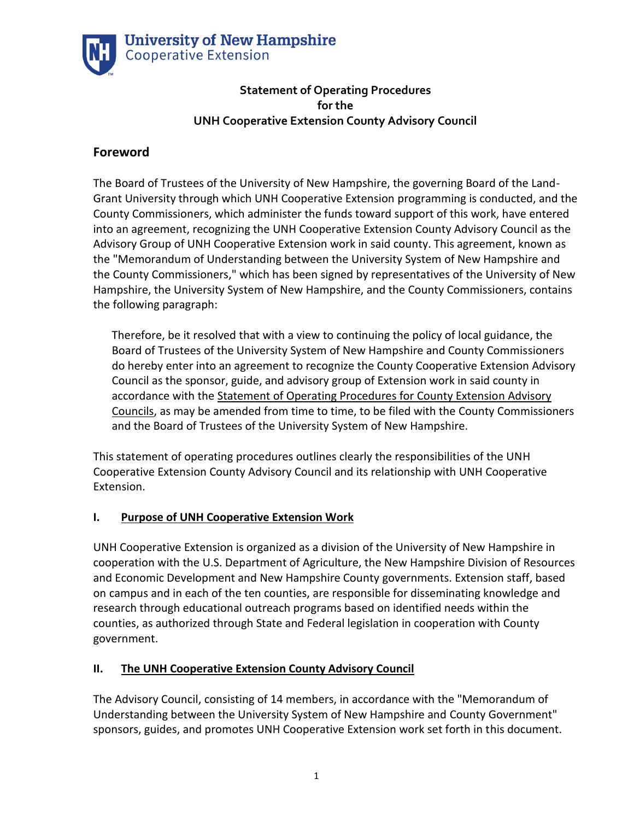

### **Statement of Operating Procedures for the UNH Cooperative Extension County Advisory Council**

# **Foreword**

The Board of Trustees of the University of New Hampshire, the governing Board of the Land-Grant University through which UNH Cooperative Extension programming is conducted, and the County Commissioners, which administer the funds toward support of this work, have entered into an agreement, recognizing the UNH Cooperative Extension County Advisory Council as the Advisory Group of UNH Cooperative Extension work in said county. This agreement, known as the "Memorandum of Understanding between the University System of New Hampshire and the County Commissioners," which has been signed by representatives of the University of New Hampshire, the University System of New Hampshire, and the County Commissioners, contains the following paragraph:

Therefore, be it resolved that with a view to continuing the policy of local guidance, the Board of Trustees of the University System of New Hampshire and County Commissioners do hereby enter into an agreement to recognize the County Cooperative Extension Advisory Council as the sponsor, guide, and advisory group of Extension work in said county in accordance with the Statement of Operating Procedures for County Extension Advisory Councils, as may be amended from time to time, to be filed with the County Commissioners and the Board of Trustees of the University System of New Hampshire.

This statement of operating procedures outlines clearly the responsibilities of the UNH Cooperative Extension County Advisory Council and its relationship with UNH Cooperative Extension.

### **I. Purpose of UNH Cooperative Extension Work**

UNH Cooperative Extension is organized as a division of the University of New Hampshire in cooperation with the U.S. Department of Agriculture, the New Hampshire Division of Resources and Economic Development and New Hampshire County governments. Extension staff, based on campus and in each of the ten counties, are responsible for disseminating knowledge and research through educational outreach programs based on identified needs within the counties, as authorized through State and Federal legislation in cooperation with County government.

## **II. The UNH Cooperative Extension County Advisory Council**

The Advisory Council, consisting of 14 members, in accordance with the "Memorandum of Understanding between the University System of New Hampshire and County Government" sponsors, guides, and promotes UNH Cooperative Extension work set forth in this document.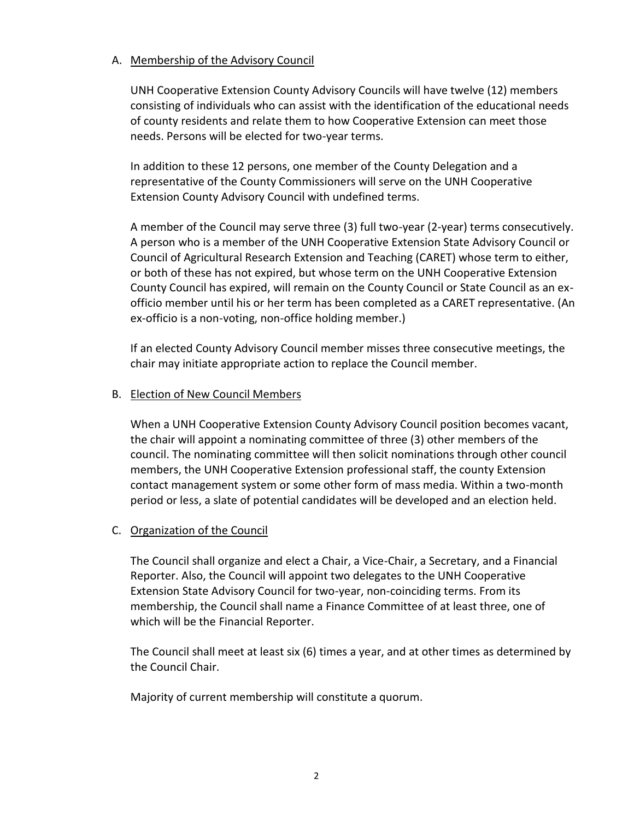#### A. Membership of the Advisory Council

UNH Cooperative Extension County Advisory Councils will have twelve (12) members consisting of individuals who can assist with the identification of the educational needs of county residents and relate them to how Cooperative Extension can meet those needs. Persons will be elected for two-year terms.

In addition to these 12 persons, one member of the County Delegation and a representative of the County Commissioners will serve on the UNH Cooperative Extension County Advisory Council with undefined terms.

A member of the Council may serve three (3) full two-year (2-year) terms consecutively. A person who is a member of the UNH Cooperative Extension State Advisory Council or Council of Agricultural Research Extension and Teaching (CARET) whose term to either, or both of these has not expired, but whose term on the UNH Cooperative Extension County Council has expired, will remain on the County Council or State Council as an exofficio member until his or her term has been completed as a CARET representative. (An ex-officio is a non-voting, non-office holding member.)

If an elected County Advisory Council member misses three consecutive meetings, the chair may initiate appropriate action to replace the Council member.

#### B. Election of New Council Members

When a UNH Cooperative Extension County Advisory Council position becomes vacant, the chair will appoint a nominating committee of three (3) other members of the council. The nominating committee will then solicit nominations through other council members, the UNH Cooperative Extension professional staff, the county Extension contact management system or some other form of mass media. Within a two-month period or less, a slate of potential candidates will be developed and an election held.

### C. Organization of the Council

The Council shall organize and elect a Chair, a Vice-Chair, a Secretary, and a Financial Reporter. Also, the Council will appoint two delegates to the UNH Cooperative Extension State Advisory Council for two-year, non-coinciding terms. From its membership, the Council shall name a Finance Committee of at least three, one of which will be the Financial Reporter.

The Council shall meet at least six (6) times a year, and at other times as determined by the Council Chair.

Majority of current membership will constitute a quorum.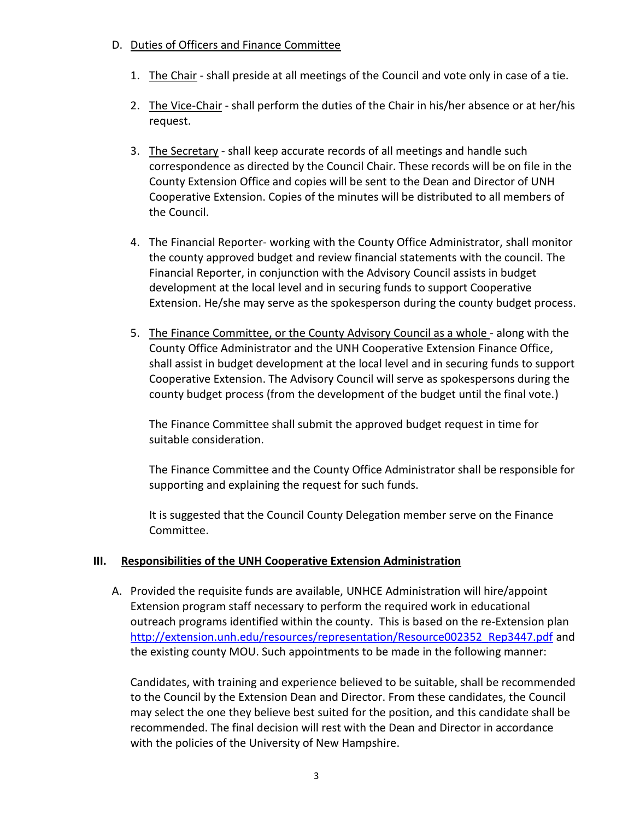### D. Duties of Officers and Finance Committee

- 1. The Chair shall preside at all meetings of the Council and vote only in case of a tie.
- 2. The Vice-Chair shall perform the duties of the Chair in his/her absence or at her/his request.
- 3. The Secretary shall keep accurate records of all meetings and handle such correspondence as directed by the Council Chair. These records will be on file in the County Extension Office and copies will be sent to the Dean and Director of UNH Cooperative Extension. Copies of the minutes will be distributed to all members of the Council.
- 4. The Financial Reporter- working with the County Office Administrator, shall monitor the county approved budget and review financial statements with the council. The Financial Reporter, in conjunction with the Advisory Council assists in budget development at the local level and in securing funds to support Cooperative Extension. He/she may serve as the spokesperson during the county budget process.
- 5. The Finance Committee, or the County Advisory Council as a whole along with the County Office Administrator and the UNH Cooperative Extension Finance Office, shall assist in budget development at the local level and in securing funds to support Cooperative Extension. The Advisory Council will serve as spokespersons during the county budget process (from the development of the budget until the final vote.)

The Finance Committee shall submit the approved budget request in time for suitable consideration.

The Finance Committee and the County Office Administrator shall be responsible for supporting and explaining the request for such funds.

It is suggested that the Council County Delegation member serve on the Finance Committee.

### **III. Responsibilities of the UNH Cooperative Extension Administration**

A. Provided the requisite funds are available, UNHCE Administration will hire/appoint Extension program staff necessary to perform the required work in educational outreach programs identified within the county. This is based on the re-Extension plan [http://extension.unh.edu/resources/representation/Resource002352\\_Rep3447.pdf](http://extension.unh.edu/resources/representation/Resource002352_Rep3447.pdf) and the existing county MOU. Such appointments to be made in the following manner:

Candidates, with training and experience believed to be suitable, shall be recommended to the Council by the Extension Dean and Director. From these candidates, the Council may select the one they believe best suited for the position, and this candidate shall be recommended. The final decision will rest with the Dean and Director in accordance with the policies of the University of New Hampshire.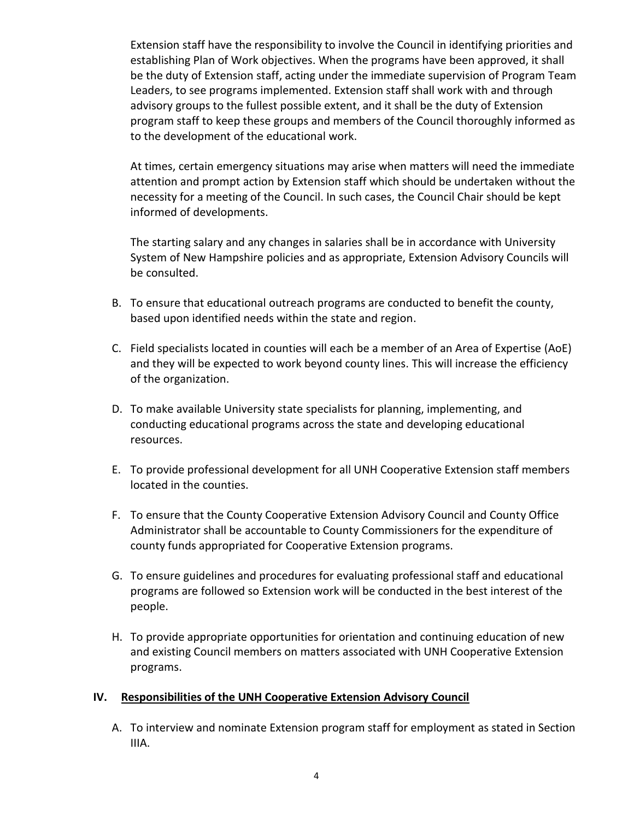Extension staff have the responsibility to involve the Council in identifying priorities and establishing Plan of Work objectives. When the programs have been approved, it shall be the duty of Extension staff, acting under the immediate supervision of Program Team Leaders, to see programs implemented. Extension staff shall work with and through advisory groups to the fullest possible extent, and it shall be the duty of Extension program staff to keep these groups and members of the Council thoroughly informed as to the development of the educational work.

At times, certain emergency situations may arise when matters will need the immediate attention and prompt action by Extension staff which should be undertaken without the necessity for a meeting of the Council. In such cases, the Council Chair should be kept informed of developments.

The starting salary and any changes in salaries shall be in accordance with University System of New Hampshire policies and as appropriate, Extension Advisory Councils will be consulted.

- B. To ensure that educational outreach programs are conducted to benefit the county, based upon identified needs within the state and region.
- C. Field specialists located in counties will each be a member of an Area of Expertise (AoE) and they will be expected to work beyond county lines. This will increase the efficiency of the organization.
- D. To make available University state specialists for planning, implementing, and conducting educational programs across the state and developing educational resources.
- E. To provide professional development for all UNH Cooperative Extension staff members located in the counties.
- F. To ensure that the County Cooperative Extension Advisory Council and County Office Administrator shall be accountable to County Commissioners for the expenditure of county funds appropriated for Cooperative Extension programs.
- G. To ensure guidelines and procedures for evaluating professional staff and educational programs are followed so Extension work will be conducted in the best interest of the people.
- H. To provide appropriate opportunities for orientation and continuing education of new and existing Council members on matters associated with UNH Cooperative Extension programs.

### **IV. Responsibilities of the UNH Cooperative Extension Advisory Council**

A. To interview and nominate Extension program staff for employment as stated in Section IIIA.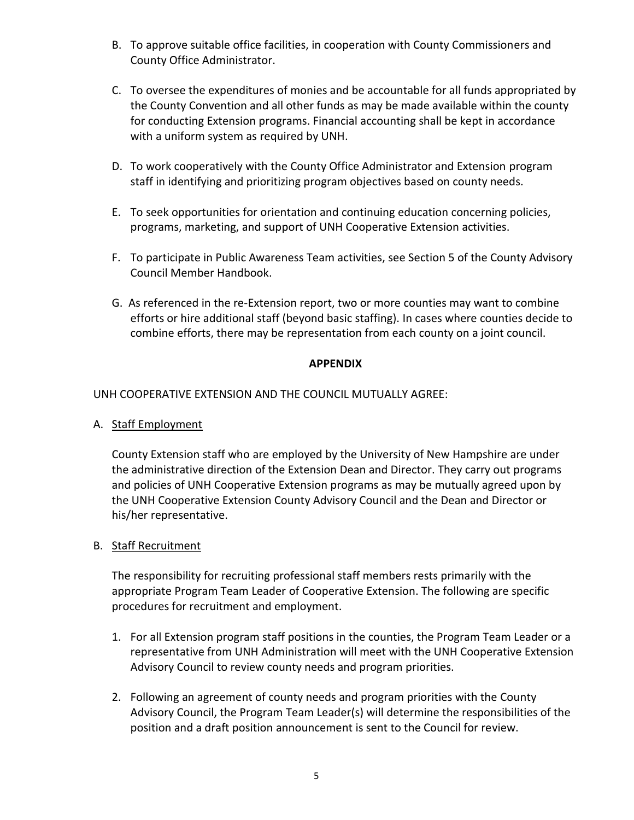- B. To approve suitable office facilities, in cooperation with County Commissioners and County Office Administrator.
- C. To oversee the expenditures of monies and be accountable for all funds appropriated by the County Convention and all other funds as may be made available within the county for conducting Extension programs. Financial accounting shall be kept in accordance with a uniform system as required by UNH.
- D. To work cooperatively with the County Office Administrator and Extension program staff in identifying and prioritizing program objectives based on county needs.
- E. To seek opportunities for orientation and continuing education concerning policies, programs, marketing, and support of UNH Cooperative Extension activities.
- F. To participate in Public Awareness Team activities, see Section 5 of the County Advisory Council Member Handbook.
- G. As referenced in the re-Extension report, two or more counties may want to combine efforts or hire additional staff (beyond basic staffing). In cases where counties decide to combine efforts, there may be representation from each county on a joint council.

### **APPENDIX**

UNH COOPERATIVE EXTENSION AND THE COUNCIL MUTUALLY AGREE:

A. Staff Employment

County Extension staff who are employed by the University of New Hampshire are under the administrative direction of the Extension Dean and Director. They carry out programs and policies of UNH Cooperative Extension programs as may be mutually agreed upon by the UNH Cooperative Extension County Advisory Council and the Dean and Director or his/her representative.

### B. Staff Recruitment

The responsibility for recruiting professional staff members rests primarily with the appropriate Program Team Leader of Cooperative Extension. The following are specific procedures for recruitment and employment.

- 1. For all Extension program staff positions in the counties, the Program Team Leader or a representative from UNH Administration will meet with the UNH Cooperative Extension Advisory Council to review county needs and program priorities.
- 2. Following an agreement of county needs and program priorities with the County Advisory Council, the Program Team Leader(s) will determine the responsibilities of the position and a draft position announcement is sent to the Council for review.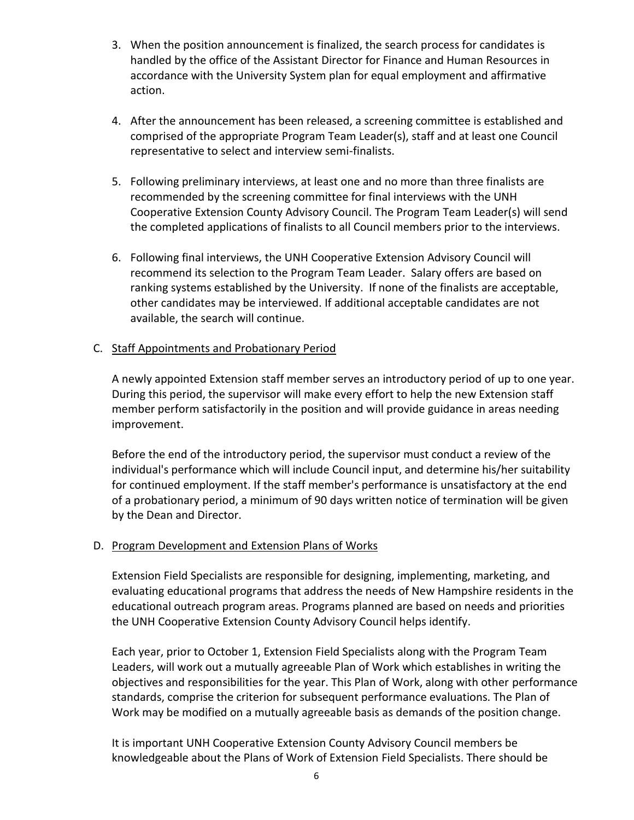- 3. When the position announcement is finalized, the search process for candidates is handled by the office of the Assistant Director for Finance and Human Resources in accordance with the University System plan for equal employment and affirmative action.
- 4. After the announcement has been released, a screening committee is established and comprised of the appropriate Program Team Leader(s), staff and at least one Council representative to select and interview semi-finalists.
- 5. Following preliminary interviews, at least one and no more than three finalists are recommended by the screening committee for final interviews with the UNH Cooperative Extension County Advisory Council. The Program Team Leader(s) will send the completed applications of finalists to all Council members prior to the interviews.
- 6. Following final interviews, the UNH Cooperative Extension Advisory Council will recommend its selection to the Program Team Leader. Salary offers are based on ranking systems established by the University. If none of the finalists are acceptable, other candidates may be interviewed. If additional acceptable candidates are not available, the search will continue.

### C. Staff Appointments and Probationary Period

A newly appointed Extension staff member serves an introductory period of up to one year. During this period, the supervisor will make every effort to help the new Extension staff member perform satisfactorily in the position and will provide guidance in areas needing improvement.

Before the end of the introductory period, the supervisor must conduct a review of the individual's performance which will include Council input, and determine his/her suitability for continued employment. If the staff member's performance is unsatisfactory at the end of a probationary period, a minimum of 90 days written notice of termination will be given by the Dean and Director.

#### D. Program Development and Extension Plans of Works

Extension Field Specialists are responsible for designing, implementing, marketing, and evaluating educational programs that address the needs of New Hampshire residents in the educational outreach program areas. Programs planned are based on needs and priorities the UNH Cooperative Extension County Advisory Council helps identify.

Each year, prior to October 1, Extension Field Specialists along with the Program Team Leaders, will work out a mutually agreeable Plan of Work which establishes in writing the objectives and responsibilities for the year. This Plan of Work, along with other performance standards, comprise the criterion for subsequent performance evaluations. The Plan of Work may be modified on a mutually agreeable basis as demands of the position change.

It is important UNH Cooperative Extension County Advisory Council members be knowledgeable about the Plans of Work of Extension Field Specialists. There should be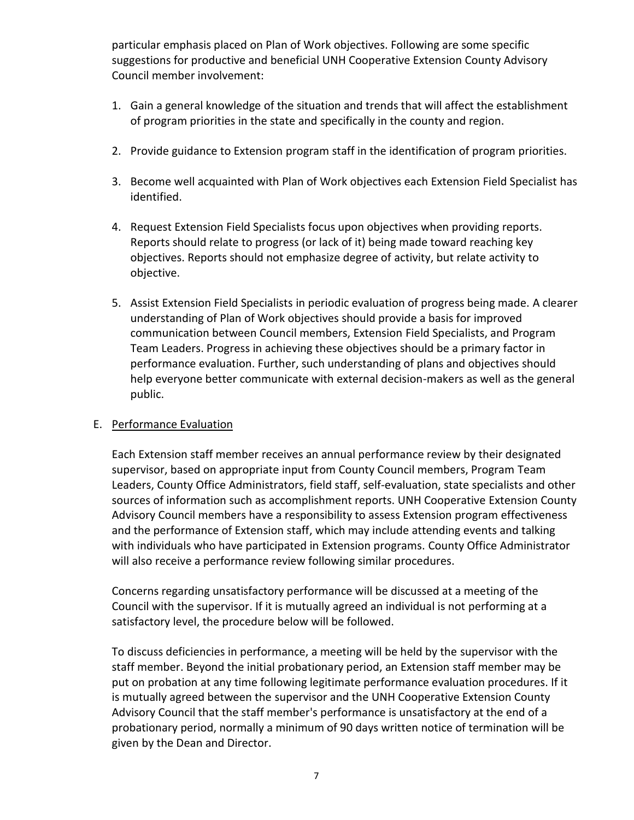particular emphasis placed on Plan of Work objectives. Following are some specific suggestions for productive and beneficial UNH Cooperative Extension County Advisory Council member involvement:

- 1. Gain a general knowledge of the situation and trends that will affect the establishment of program priorities in the state and specifically in the county and region.
- 2. Provide guidance to Extension program staff in the identification of program priorities.
- 3. Become well acquainted with Plan of Work objectives each Extension Field Specialist has identified.
- 4. Request Extension Field Specialists focus upon objectives when providing reports. Reports should relate to progress (or lack of it) being made toward reaching key objectives. Reports should not emphasize degree of activity, but relate activity to objective.
- 5. Assist Extension Field Specialists in periodic evaluation of progress being made. A clearer understanding of Plan of Work objectives should provide a basis for improved communication between Council members, Extension Field Specialists, and Program Team Leaders. Progress in achieving these objectives should be a primary factor in performance evaluation. Further, such understanding of plans and objectives should help everyone better communicate with external decision-makers as well as the general public.

### E. Performance Evaluation

Each Extension staff member receives an annual performance review by their designated supervisor, based on appropriate input from County Council members, Program Team Leaders, County Office Administrators, field staff, self-evaluation, state specialists and other sources of information such as accomplishment reports. UNH Cooperative Extension County Advisory Council members have a responsibility to assess Extension program effectiveness and the performance of Extension staff, which may include attending events and talking with individuals who have participated in Extension programs. County Office Administrator will also receive a performance review following similar procedures.

Concerns regarding unsatisfactory performance will be discussed at a meeting of the Council with the supervisor. If it is mutually agreed an individual is not performing at a satisfactory level, the procedure below will be followed.

To discuss deficiencies in performance, a meeting will be held by the supervisor with the staff member. Beyond the initial probationary period, an Extension staff member may be put on probation at any time following legitimate performance evaluation procedures. If it is mutually agreed between the supervisor and the UNH Cooperative Extension County Advisory Council that the staff member's performance is unsatisfactory at the end of a probationary period, normally a minimum of 90 days written notice of termination will be given by the Dean and Director.